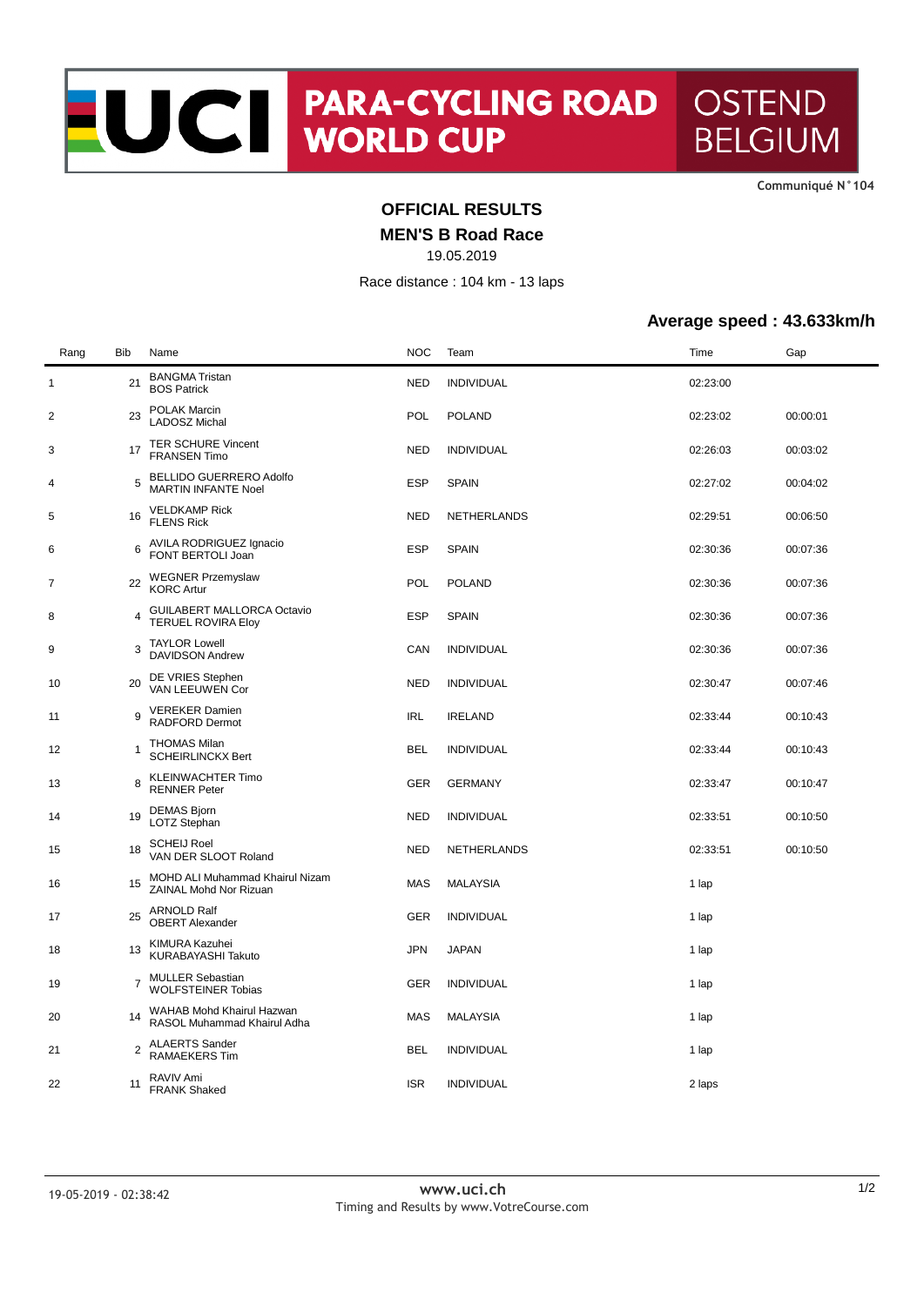**CommuniquÈ N°104**

## **OFFICIAL RESULTS**

**MEN'S B Road Race**

19.05.2019

Race distance : 104 km - 13 laps

## **Average speed : 43.633km/h**

| Rang         | Bib            | Name                                                         | <b>NOC</b> | Team              | Time     | Gap      |
|--------------|----------------|--------------------------------------------------------------|------------|-------------------|----------|----------|
| $\mathbf{1}$ | 21             | <b>BANGMA Tristan</b><br><b>BOS Patrick</b>                  | <b>NED</b> | <b>INDIVIDUAL</b> | 02:23:00 |          |
| 2            | 23             | POLAK Marcin<br><b>LADOSZ Michal</b>                         | POL        | <b>POLAND</b>     | 02:23:02 | 00:00:01 |
| 3            | 17             | <b>TER SCHURE Vincent</b><br><b>FRANSEN Timo</b>             | <b>NED</b> | <b>INDIVIDUAL</b> | 02:26:03 | 00:03:02 |
| 4            | 5              | <b>BELLIDO GUERRERO Adolfo</b><br><b>MARTIN INFANTE Noel</b> | <b>ESP</b> | <b>SPAIN</b>      | 02:27:02 | 00:04:02 |
| 5            | 16             | <b>VELDKAMP Rick</b><br><b>FLENS Rick</b>                    | <b>NED</b> | NETHERLANDS       | 02:29:51 | 00:06:50 |
| 6            | 6              | AVILA RODRIGUEZ Ignacio<br>FONT BERTOLI Joan                 | ESP        | <b>SPAIN</b>      | 02:30:36 | 00:07:36 |
| 7            | 22             | <b>WEGNER Przemyslaw</b><br><b>KORC Artur</b>                | POL        | <b>POLAND</b>     | 02:30:36 | 00:07:36 |
| 8            | 4              | GUILABERT MALLORCA Octavio<br><b>TERUEL ROVIRA Eloy</b>      | <b>ESP</b> | <b>SPAIN</b>      | 02:30:36 | 00:07:36 |
| 9            | 3              | <b>TAYLOR Lowell</b><br><b>DAVIDSON Andrew</b>               | CAN        | <b>INDIVIDUAL</b> | 02:30:36 | 00:07:36 |
| 10           | 20             | DE VRIES Stephen<br>VAN LEEUWEN Cor                          | <b>NED</b> | <b>INDIVIDUAL</b> | 02:30:47 | 00:07:46 |
| 11           | 9              | <b>VEREKER Damien</b><br>RADFORD Dermot                      | <b>IRL</b> | <b>IRELAND</b>    | 02:33:44 | 00:10:43 |
| 12           | 1              | <b>THOMAS Milan</b><br><b>SCHEIRLINCKX Bert</b>              | <b>BEL</b> | <b>INDIVIDUAL</b> | 02:33:44 | 00:10:43 |
| 13           | 8              | <b>KLEINWACHTER Timo</b><br><b>RENNER Peter</b>              | GER        | <b>GERMANY</b>    | 02:33:47 | 00:10:47 |
| 14           | 19             | <b>DEMAS Bjorn</b><br>LOTZ Stephan                           | <b>NED</b> | <b>INDIVIDUAL</b> | 02:33:51 | 00:10:50 |
| 15           | 18             | <b>SCHEIJ Roel</b><br>VAN DER SLOOT Roland                   | <b>NED</b> | NETHERLANDS       | 02:33:51 | 00:10:50 |
| 16           | 15             | MOHD ALI Muhammad Khairul Nizam<br>ZAINAL Mohd Nor Rizuan    | MAS        | <b>MALAYSIA</b>   | 1 lap    |          |
| 17           | 25             | <b>ARNOLD Ralf</b><br><b>OBERT Alexander</b>                 | GER        | <b>INDIVIDUAL</b> | 1 lap    |          |
| 18           | 13             | KIMURA Kazuhei<br>KURABAYASHI Takuto                         | JPN        | <b>JAPAN</b>      | 1 lap    |          |
| 19           | $\overline{7}$ | <b>MULLER Sebastian</b><br><b>WOLFSTEINER Tobias</b>         | GER        | <b>INDIVIDUAL</b> | 1 lap    |          |
| 20           | 14             | WAHAB Mohd Khairul Hazwan<br>RASOL Muhammad Khairul Adha     | <b>MAS</b> | <b>MALAYSIA</b>   | 1 lap    |          |
| 21           | 2              | <b>ALAERTS Sander</b><br><b>RAMAEKERS Tim</b>                | <b>BEL</b> | <b>INDIVIDUAL</b> | 1 lap    |          |
| 22           | 11             | RAVIV Ami<br><b>FRANK Shaked</b>                             | <b>ISR</b> | <b>INDIVIDUAL</b> | 2 laps   |          |